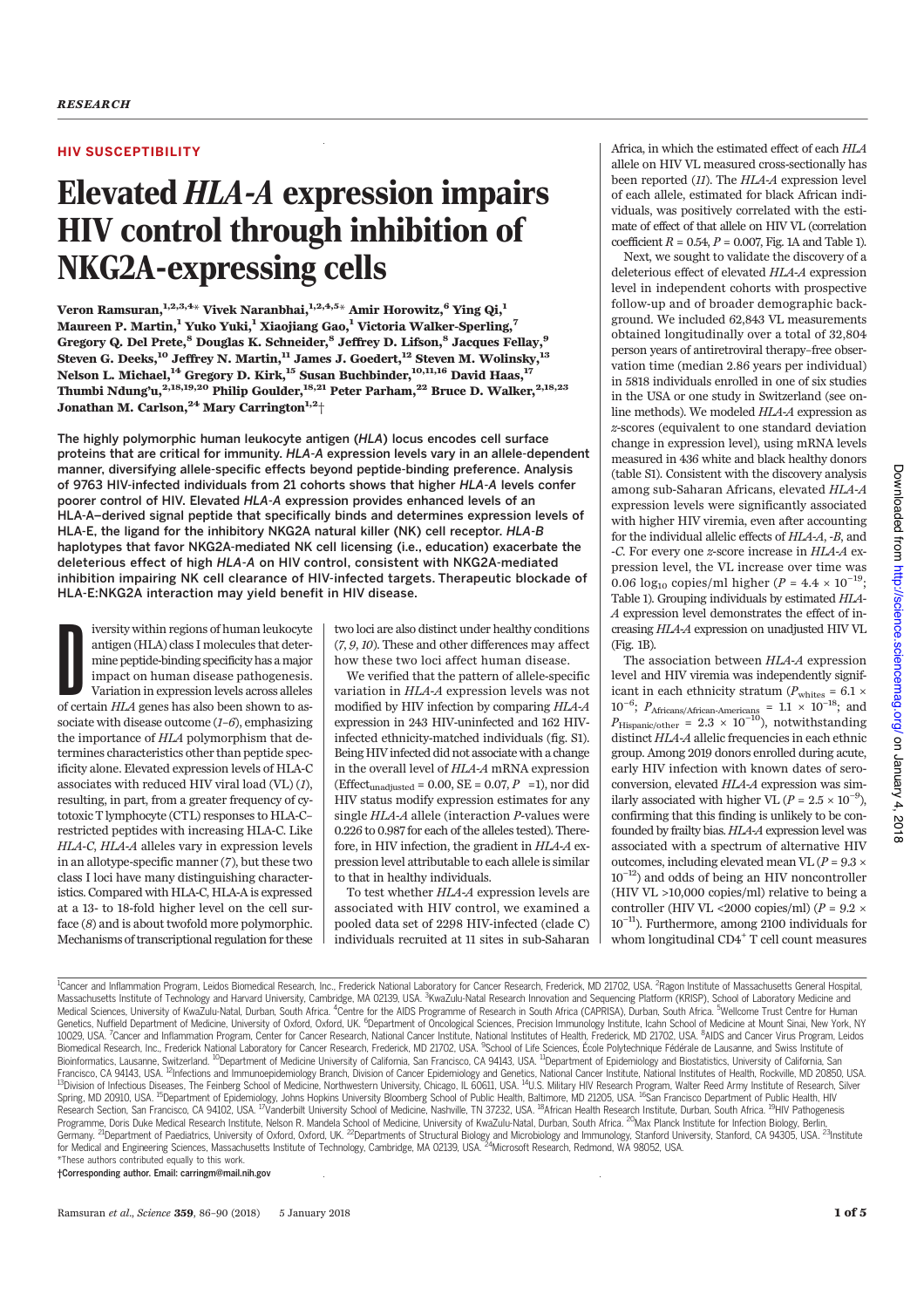# HIV SUSCEPTIBILITY

# Elevated HLA-A expression impairs HIV control through inhibition of NKG2A-expressing cells

Veron Ramsuran, $1,2,3,4*$  Vivek Naranbhai, $1,2,4,5*$  Amir Horowitz,  $6$  Ying Qi, $1$ Maureen P. Martin,<sup>1</sup> Yuko Yuki,<sup>1</sup> Xiaojiang Gao,<sup>1</sup> Victoria Walker-Sperling,<sup>7</sup> Gregory Q. Del Prete,<sup>8</sup> Douglas K. Schneider,<sup>8</sup> Jeffrey D. Lifson,<sup>8</sup> Jacques Fellay,<sup>9</sup> Steven G. Deeks, $^{10}$  Jeffrey N. Martin, $^{11}$  James J. Goedert, $^{12}$  Steven M. Wolinsky, $^{13}$ Nelson L. Michael, $^{\rm 14}$  Gregory D. Kirk, $^{\rm 15}$  Susan Buchbinder, $^{\rm 10,11,16}$  David Haas, $^{\rm 17}$ Thumbi Ndung'u, $^{2,18,19,20}$  Philip Goulder, $^{18,21}$  Peter Parham, $^{22}$  Bruce D. Walker, $^{2,18,23}$ Jonathan M. Carlson, <sup>24</sup> Mary Carrington<sup>1,2</sup><sup>+</sup>

The highly polymorphic human leukocyte antigen (HLA) locus encodes cell surface proteins that are critical for immunity. HLA-A expression levels vary in an allele-dependent manner, diversifying allele-specific effects beyond peptide-binding preference. Analysis of 9763 HIV-infected individuals from 21 cohorts shows that higher HLA-A levels confer poorer control of HIV. Elevated HLA-A expression provides enhanced levels of an HLA-A–derived signal peptide that specifically binds and determines expression levels of HLA-E, the ligand for the inhibitory NKG2A natural killer (NK) cell receptor. HLA-B haplotypes that favor NKG2A-mediated NK cell licensing (i.e., education) exacerbate the deleterious effect of high HLA-A on HIV control, consistent with NKG2A-mediated inhibition impairing NK cell clearance of HIV-infected targets. Therapeutic blockade of HLA-E:NKG2A interaction may yield benefit in HIV disease.

iversity within regions of human leukocyte<br>antigen (HLA) class I molecules that deter-<br>mine peptide-binding specificity has a major<br>impact on human disease pathogenesis.<br>Variation in expression levels across alleles<br>of cer iversity within regions of human leukocyte antigen (HLA) class I molecules that determine peptide-binding specificity has a major impact on human disease pathogenesis. Variation in expression levels across alleles sociate with disease outcome  $(I-6)$ , emphasizing the importance of HLA polymorphism that determines characteristics other than peptide specificity alone. Elevated expression levels of HLA-C associates with reduced HIV viral load (VL) (1), resulting, in part, from a greater frequency of cytotoxic T lymphocyte (CTL) responses to HLA-C– restricted peptides with increasing HLA-C. Like HLA-C, HLA-A alleles vary in expression levels in an allotype-specific manner (7), but these two class I loci have many distinguishing characteristics. Compared with HLA-C, HLA-A is expressed at a 13- to 18-fold higher level on the cell surface (8) and is about twofold more polymorphic. Mechanisms of transcriptional regulation for these

two loci are also distinct under healthy conditions (7, 9, 10). These and other differences may affect how these two loci affect human disease.

We verified that the pattern of allele-specific variation in HLA-A expression levels was not modified by HIV infection by comparing HLA-A expression in 243 HIV-uninfected and 162 HIVinfected ethnicity-matched individuals (fig. S1). Being HIV infected did not associate with a change in the overall level of HLA-A mRNA expression (Effect<sub>unadjusted</sub> = 0.00, SE = 0.07,  $P$  =1), nor did HIV status modify expression estimates for any single HLA-A allele (interaction P-values were 0.226 to 0.987 for each of the alleles tested). Therefore, in HIV infection, the gradient in HLA-A expression level attributable to each allele is similar to that in healthy individuals.

To test whether HLA-A expression levels are associated with HIV control, we examined a pooled data set of 2298 HIV-infected (clade C) individuals recruited at 11 sites in sub-Saharan

Africa, in which the estimated effect of each HLA allele on HIV VL measured cross-sectionally has been reported (11). The HLA-A expression level of each allele, estimated for black African individuals, was positively correlated with the estimate of effect of that allele on HIV VL (correlation coefficient  $R = 0.54$ ,  $P = 0.007$ , Fig. 1A and Table 1).

Next, we sought to validate the discovery of a deleterious effect of elevated HLA-A expression level in independent cohorts with prospective follow-up and of broader demographic background. We included 62,843 VL measurements obtained longitudinally over a total of 32,804 person years of antiretroviral therapy–free observation time (median 2.86 years per individual) in 5818 individuals enrolled in one of six studies in the USA or one study in Switzerland (see online methods). We modeled HLA-A expression as z-scores (equivalent to one standard deviation change in expression level), using mRNA levels measured in 436 white and black healthy donors (table S1). Consistent with the discovery analysis among sub-Saharan Africans, elevated HLA-A expression levels were significantly associated with higher HIV viremia, even after accounting for the individual allelic effects of HLA-A, -B, and -C. For every one z-score increase in HLA-A expression level, the VL increase over time was 0.06 log<sub>10</sub> copies/ml higher ( $P = 4.4 \times 10^{-19}$ ; Table 1). Grouping individuals by estimated HLA-A expression level demonstrates the effect of increasing HLA-A expression on unadjusted HIV VL (Fig. 1B).

The association between HLA-A expression level and HIV viremia was independently significant in each ethnicity stratum ( $P_{\text{whites}} = 6.1 \times$  $10^{-6}$ ;  $P_{\text{African/African-Americans}} = 1.1 \times 10^{-18}$ ; and  $P_{\text{Hispanic/other}} = 2.3 \times 10^{-10}$ , notwithstanding distinct HLA-A allelic frequencies in each ethnic group. Among 2019 donors enrolled during acute, early HIV infection with known dates of seroconversion, elevated HLA-A expression was similarly associated with higher VL ( $P = 2.5 \times 10^{-9}$ ), confirming that this finding is unlikely to be confounded by frailty bias. HLA-A expression level was associated with a spectrum of alternative HIV outcomes, including elevated mean VL ( $P = 9.3 \times$ 10<sup>−</sup>12) and odds of being an HIV noncontroller (HIV VL >10,000 copies/ml) relative to being a controller (HIV VL <2000 copies/ml) ( $P = 9.2 \times$ 10<sup>−</sup>11). Furthermore, among 2100 individuals for whom longitudinal CD4+ T cell count measures

Downloaded from http://science.sciencemag.org/ on January 4, 2018 on January 4, 2018 http://science.sciencemag.org/ Downloaded from

<sup>1</sup>Cancer and Inflammation Program, Leidos Biomedical Research, Inc., Frederick National Laboratory for Cancer Research, Frederick, MD 21702, USA. <sup>2</sup>Ragon Institute of Massachusetts General Hospital, Massachusetts Institute of Technology and Harvard University, Cambridge, MA 02139, USA. <sup>3</sup>KwaZulu-Natal Research Innovation and Sequencing Platform (KRISP), School of Laboratory Medicine and Medical Sciences, University of KwaZulu-Natal, Durban, South Africa. <sup>4</sup>Centre for the AIDS Programme of Research in South Africa (CAPRISA), Durban, South Africa. <sup>5</sup>Wellcome Trust Centre for Human Genetics, Nuffield Department of Medicine, University of Oxford, Oxford, UK. <sup>6</sup>Department of Oncological Sciences, Precision Immunology Institute, Icahn School of Medicine at Mount Sinai, New York, NY<br>10029, USA. <sup>7</sup>Cance Biomedical Research, Inc., Frederick National Laboratory for Cancer Research, Frederick, MD 21702, USA. <sup>9</sup>School of Life Sciences, École Polytechnique Fédérale de Lausanne, and Swiss Institute of<br>Bioinformatics, Lausanne, Francisco, CA 94143, USA. <sup>22</sup>Infections and Immunoepidemiology Branch, Division of Cancer Epidemiology and Genetics, National Cancer Institute, National Institutes of Health, Rockville, MD 20850, USA.<br><sup>13</sup>Division of Infe Spring, MD 20910, USA. <sup>15</sup>Department of Epidemiology, Johns Hopkins University Bloomberg School of Public Health, Baltimore, MD 21205, USA. <sup>16</sup>San Francisco Department of Public Health, HIV Research Section, San Francisco, CA 94102, USA. <sup>17</sup>Vanderbilt University School of Medicine, Nashville, TN 37232, USA. <sup>18</sup>African Health Research Institute, Durban, South Africa. <sup>19</sup>HIV Pathogenesis<br>Programme, Doris Duk Germany. <sup>21</sup>Department of Paediatrics, University of Oxford, Oxford, UK. <sup>22</sup>Departments of Structural Biology and Microbiology and Immunology, Stanford University, Stanford, CA 94305, USA. <sup>23</sup>Institute<br>for Medical and E \*These authors contributed equally to this work.

†Corresponding author. Email: carringm@mail.nih.gov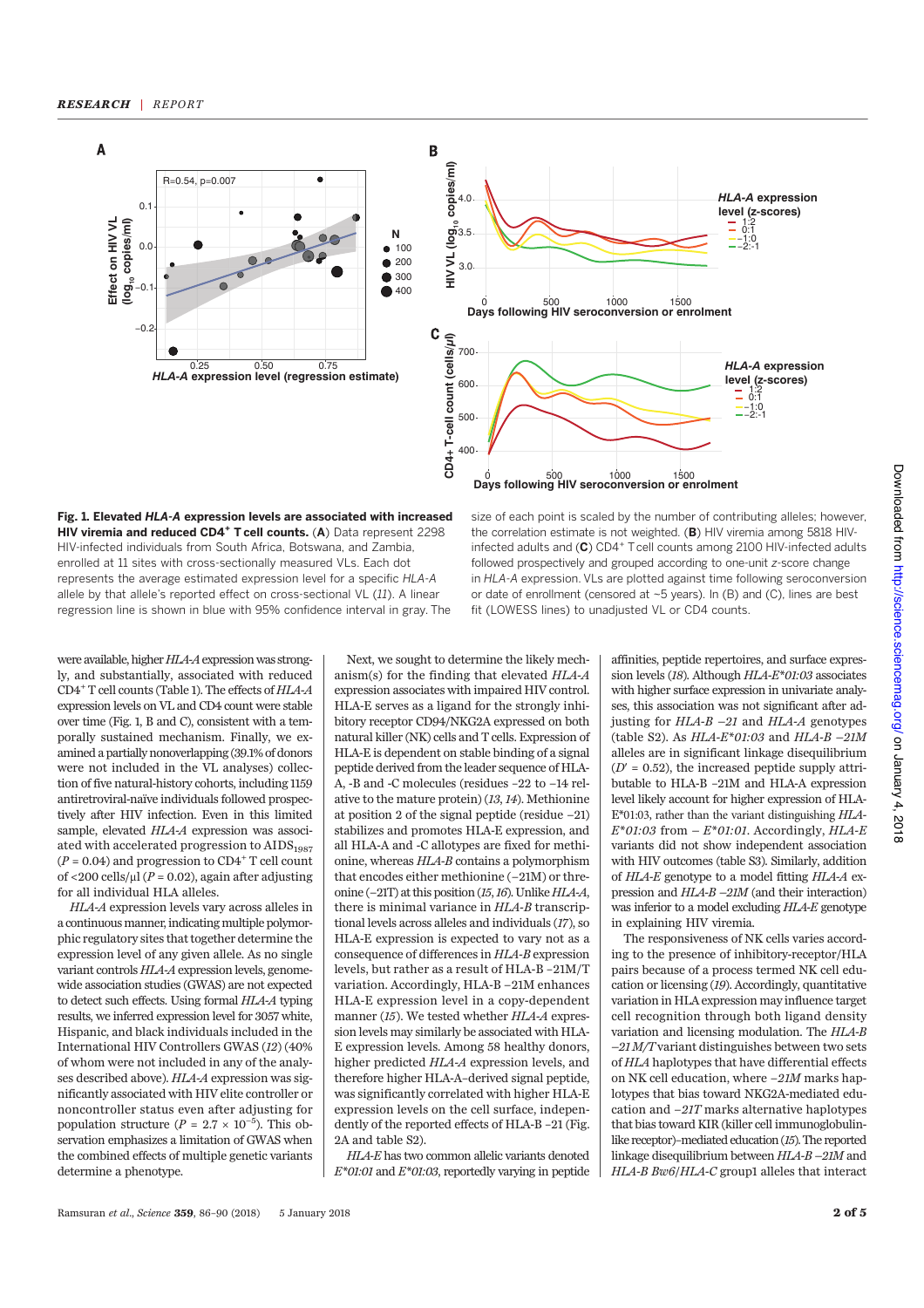

Fig. 1. Elevated HLA-A expression levels are associated with increased HIV viremia and reduced CD4<sup>+</sup> T cell counts. (A) Data represent 2298 HIV-infected individuals from South Africa, Botswana, and Zambia, enrolled at 11 sites with cross-sectionally measured VLs. Each dot represents the average estimated expression level for a specific HLA-A allele by that allele's reported effect on cross-sectional VL (11). A linear regression line is shown in blue with 95% confidence interval in gray. The

size of each point is scaled by the number of contributing alleles; however, the correlation estimate is not weighted. (B) HIV viremia among 5818 HIVinfected adults and  $(C)$  CD4<sup>+</sup> T cell counts among 2100 HIV-infected adults followed prospectively and grouped according to one-unit z-score change in HLA-A expression. VLs are plotted against time following seroconversion or date of enrollment (censored at ~5 years). In (B) and (C), lines are best fit (LOWESS lines) to unadjusted VL or CD4 counts.

were available, higher HLA-A expression was strongly, and substantially, associated with reduced CD4+ T cell counts (Table 1). The effects of HLA-A expression levels on VL and CD4 count were stable over time (Fig. 1, B and C), consistent with a temporally sustained mechanism. Finally, we examined a partially nonoverlapping (39.1% of donors were not included in the VL analyses) collection of five natural-history cohorts, including 1159 antiretroviral-naïve individuals followed prospectively after HIV infection. Even in this limited sample, elevated HLA-A expression was associated with accelerated progression to  $\text{AIDS}_{1987}$  $(P = 0.04)$  and progression to  $CD4^+$  T cell count of <200 cells/ $\mu$ l (P = 0.02), again after adjusting for all individual HLA alleles.

HLA-A expression levels vary across alleles in a continuous manner, indicating multiple polymorphic regulatory sites that together determine the expression level of any given allele. As no single variant controls HLA-A expression levels, genomewide association studies (GWAS) are not expected to detect such effects. Using formal HLA-A typing results, we inferred expression level for 3057 white, Hispanic, and black individuals included in the International HIV Controllers GWAS (12) (40% of whom were not included in any of the analyses described above). HLA-A expression was significantly associated with HIV elite controller or noncontroller status even after adjusting for population structure ( $P = 2.7 \times 10^{-5}$ ). This observation emphasizes a limitation of GWAS when the combined effects of multiple genetic variants determine a phenotype.

Next, we sought to determine the likely mechanism(s) for the finding that elevated HLA-A expression associates with impaired HIV control. HLA-E serves as a ligand for the strongly inhibitory receptor CD94/NKG2A expressed on both natural killer (NK) cells and T cells. Expression of HLA-E is dependent on stable binding of a signal peptide derived from the leader sequence of HLA-A, -B and -C molecules (residues –22 to −14 relative to the mature protein) (13, 14). Methionine at position 2 of the signal peptide (residue −21) stabilizes and promotes HLA-E expression, and all HLA-A and -C allotypes are fixed for methionine, whereas HLA-B contains a polymorphism that encodes either methionine (−21M) or threonine (−21T) at this position (15,16). Unlike HLA-A, there is minimal variance in HLA-B transcriptional levels across alleles and individuals (17), so HLA-E expression is expected to vary not as a consequence of differences in HLA-B expression levels, but rather as a result of HLA-B –21M/T variation. Accordingly, HLA-B −21M enhances HLA-E expression level in a copy-dependent manner (15). We tested whether HLA-A expression levels may similarly be associated with HLA-E expression levels. Among 58 healthy donors, higher predicted HLA-A expression levels, and therefore higher HLA-A–derived signal peptide, was significantly correlated with higher HLA-E expression levels on the cell surface, independently of the reported effects of HLA-B –21 (Fig. 2A and table S2).

HLA-E has two common allelic variants denoted  $E^*$ 01:01 and  $E^*$ 01:03, reportedly varying in peptide affinities, peptide repertoires, and surface expression levels (18). Although HLA-E\*01:03 associates with higher surface expression in univariate analyses, this association was not significant after adjusting for  $HLA-B$  –21 and  $HLA-A$  genotypes (table S2). As  $HLA-E*01:03$  and  $HLA-B-21M$ alleles are in significant linkage disequilibrium  $(D' = 0.52)$ , the increased peptide supply attributable to HLA-B –21M and HLA-A expression level likely account for higher expression of HLA-E\*01:03, rather than the variant distinguishing HLA- $E^*01:03$  from  $-E^*01:01$ . Accordingly,  $HLA-E$ variants did not show independent association with HIV outcomes (table S3). Similarly, addition of HLA-E genotype to a model fitting HLA-A expression and HLA-B –21M (and their interaction) was inferior to a model excluding  $HLA-E$  genotype in explaining HIV viremia.

The responsiveness of NK cells varies according to the presence of inhibitory-receptor/HLA pairs because of a process termed NK cell education or licensing (19). Accordingly, quantitative variation in HLA expression may influence target cell recognition through both ligand density variation and licensing modulation. The HLA-B  $-21$  M/T variant distinguishes between two sets of HLA haplotypes that have differential effects on NK cell education, where −21M marks haplotypes that bias toward NKG2A-mediated education and −21T marks alternative haplotypes that bias toward KIR (killer cell immunoglobulinlike receptor)–mediated education (15). The reported linkage disequilibrium between HLA-B –21M and HLA-B Bw6/HLA-C group1 alleles that interact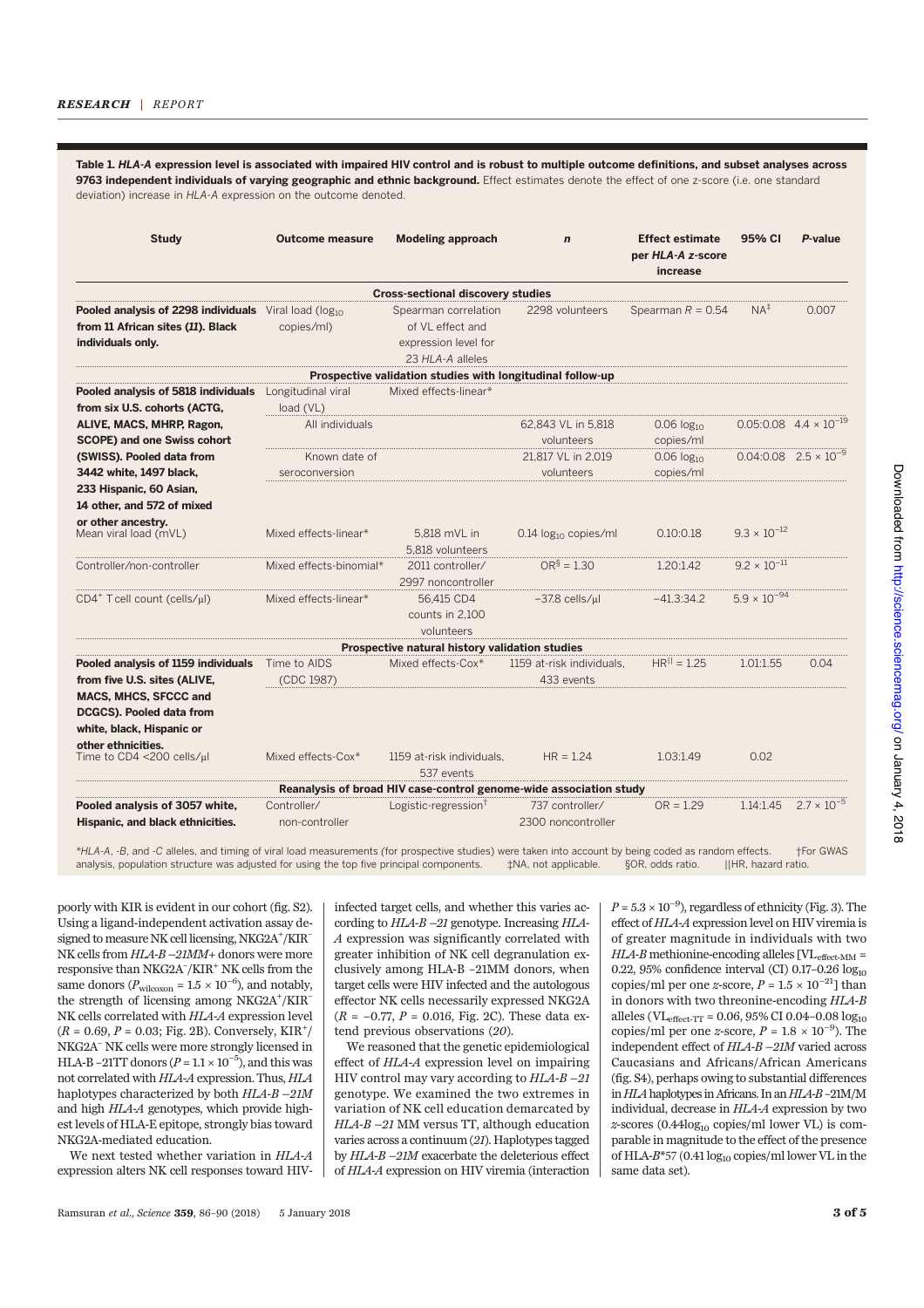Table 1. HLA-A expression level is associated with impaired HIV control and is robust to multiple outcome definitions, and subset analyses across 9763 independent individuals of varying geographic and ethnic background. Effect estimates denote the effect of one z-score (i.e. one standard deviation) increase in HLA-A expression on the outcome denoted.

| <b>Study</b>                                                                                                     | <b>Outcome measure</b>          | <b>Modeling approach</b>                                                             | $\mathbf n$                             | <b>Effect estimate</b><br>per HLA-A z-score<br>increase | 95% CI                | P-value                                    |
|------------------------------------------------------------------------------------------------------------------|---------------------------------|--------------------------------------------------------------------------------------|-----------------------------------------|---------------------------------------------------------|-----------------------|--------------------------------------------|
|                                                                                                                  |                                 | <b>Cross-sectional discovery studies</b>                                             |                                         |                                                         |                       |                                            |
| Pooled analysis of 2298 individuals Viral load (log10)<br>from 11 African sites (11). Black<br>individuals only. | copies/ml)                      | Spearman correlation<br>of VL effect and<br>expression level for<br>23 HLA-A alleles | 2298 volunteers                         | Spearman $R = 0.54$                                     | $NA+$                 | 0.007                                      |
|                                                                                                                  |                                 | Prospective validation studies with longitudinal follow-up                           |                                         |                                                         |                       |                                            |
| Pooled analysis of 5818 individuals<br>from six U.S. cohorts (ACTG,                                              | Longitudinal viral<br>load(VL)  | Mixed effects-linear*                                                                |                                         |                                                         |                       |                                            |
| ALIVE, MACS, MHRP, Ragon,<br><b>SCOPE) and one Swiss cohort</b>                                                  | All individuals                 |                                                                                      | 62,843 VL in 5,818<br>volunteers        | $0.06 \log_{10}$<br>copies/ml                           |                       | $0.05:0.08$ 4.4 $\times$ 10 <sup>-19</sup> |
| (SWISS). Pooled data from<br>3442 white, 1497 black,<br>233 Hispanic, 60 Asian,                                  | Known date of<br>seroconversion |                                                                                      | 21.817 VL in 2.019<br>volunteers        | $0.06 \log_{10}$<br>copies/ml                           |                       | $0.04:0.08$ $2.5 \times 10^{-9}$           |
| 14 other, and 572 of mixed<br>or other ancestry.                                                                 |                                 |                                                                                      |                                         |                                                         |                       |                                            |
| Mean viral load (mVL)                                                                                            | Mixed effects-linear*           | 5.818 mVL in<br>5.818 volunteers                                                     | 0.14 $log_{10}$ copies/ml               | 0.10:0.18                                               | $9.3 \times 10^{-12}$ |                                            |
| Controller/non-controller                                                                                        | Mixed effects-binomial*         | 2011 controller/<br>2997 noncontroller                                               | $OR^{\S} = 1.30$                        | 1.20:1.42                                               | $9.2 \times 10^{-11}$ |                                            |
| CD4 <sup>+</sup> T cell count (cells/µl)                                                                         | Mixed effects-linear*           | 56,415 CD4<br>counts in 2.100<br>volunteers                                          | $-37.8$ cells/ $\mu$ l                  | $-41.3:34.2$                                            | $5.9 \times 10^{-94}$ |                                            |
|                                                                                                                  |                                 | Prospective natural history validation studies                                       |                                         |                                                         |                       |                                            |
| Pooled analysis of 1159 individuals<br>from five U.S. sites (ALIVE,                                              | Time to AIDS<br>(CDC 1987)      | Mixed effects-Cox*                                                                   | 1159 at-risk individuals,<br>433 events | $HR^{  } = 1.25$                                        | 1.01:1.55             | 0.04                                       |
| <b>MACS, MHCS, SFCCC and</b><br>DCGCS). Pooled data from<br>white, black, Hispanic or<br>other ethnicities.      |                                 |                                                                                      |                                         |                                                         |                       |                                            |
| Time to CD4 <200 cells/µl                                                                                        | Mixed effects-Cox*              | 1159 at-risk individuals.<br>537 events                                              | $HR = 1.24$                             | 1.03:1.49                                               | 0.02                  |                                            |
|                                                                                                                  |                                 | Reanalysis of broad HIV case-control genome-wide association study                   |                                         |                                                         |                       |                                            |
| Pooled analysis of 3057 white,<br>Hispanic, and black ethnicities.                                               | Controller/<br>non-controller   | Logistic-regression <sup>†</sup>                                                     | 737 controller/<br>2300 noncontroller   | $OR = 1.29$                                             | 1.14:1.45             | $2.7 \times 10^{-5}$                       |

\*HLA-A, -B, and -C alleles, and timing of viral load measurements (for prospective studies) were taken into account by being coded as random effects. †For GWAS analysis, population structure was adjusted for using the top five principal components.

poorly with KIR is evident in our cohort (fig. S2). Using a ligand-independent activation assay designed to measure NK cell licensing, NKG2A+/KIR-NK cells from HLA-B –21MM+ donors were more responsive than NKG2A– /KIR+ NK cells from the same donors ( $P_{\text{wilcoxon}} = 1.5 \times 10^{-6}$ ), and notably, the strength of licensing among NKG2A<sup>+</sup>/KIR<sup>-</sup> NK cells correlated with HLA-A expression level  $(R = 0.69, P = 0.03; Fig. 2B)$ . Conversely, KIR<sup>+</sup>/ NKG2A– NK cells were more strongly licensed in HLA-B –21TT donors ( $P = 1.1 \times 10^{-5}$ ), and this was not correlated with HLA-A expression. Thus, HLA haplotypes characterized by both HLA-B –21M and high HLA-A genotypes, which provide highest levels of HLA-E epitope, strongly bias toward NKG2A-mediated education.

We next tested whether variation in HLA-A expression alters NK cell responses toward HIV- infected target cells, and whether this varies according to HLA-B –21 genotype. Increasing HLA-A expression was significantly correlated with greater inhibition of NK cell degranulation exclusively among HLA-B –21MM donors, when target cells were HIV infected and the autologous effector NK cells necessarily expressed NKG2A  $(R = -0.77, P = 0.016, Fig. 2C)$ . These data extend previous observations (20).

We reasoned that the genetic epidemiological effect of HLA-A expression level on impairing HIV control may vary according to  $HLA-B-2I$ genotype. We examined the two extremes in variation of NK cell education demarcated by HLA-B –21 MM versus TT, although education varies across a continuum (21). Haplotypes tagged by HLA-B –21M exacerbate the deleterious effect of HLA-A expression on HIV viremia (interaction

 $P = 5.3 \times 10^{-9}$ ), regardless of ethnicity (Fig. 3). The effect of HLA-A expression level on HIV viremia is of greater magnitude in individuals with two  $HLA-B$  methionine-encoding alleles  $\text{[VL}_{\text{effect-MM}} =$ 0.22, 95% confidence interval (CI) 0.17-0.26  $log_{10}$ copies/ml per one z-score,  $P = 1.5 \times 10^{-21}$ ] than in donors with two threonine-encoding HLA-B alleles (VL<sub>effect-TT</sub> =  $0.06, 95\%$  CI 0.04-0.08  $log_{10}$ copies/ml per one *z*-score,  $P = 1.8 \times 10^{-9}$ ). The independent effect of HLA-B –21M varied across Caucasians and Africans/African Americans (fig. S4), perhaps owing to substantial differences in HLA haplotypes in Africans. In an HLA-B-21M/M individual, decrease in HLA-A expression by two  $z$ -scores (0.44 $log_{10}$  copies/ml lower VL) is comparable in magnitude to the effect of the presence of HLA-B\*57 (0.41 log<sub>10</sub> copies/ml lower VL in the same data set).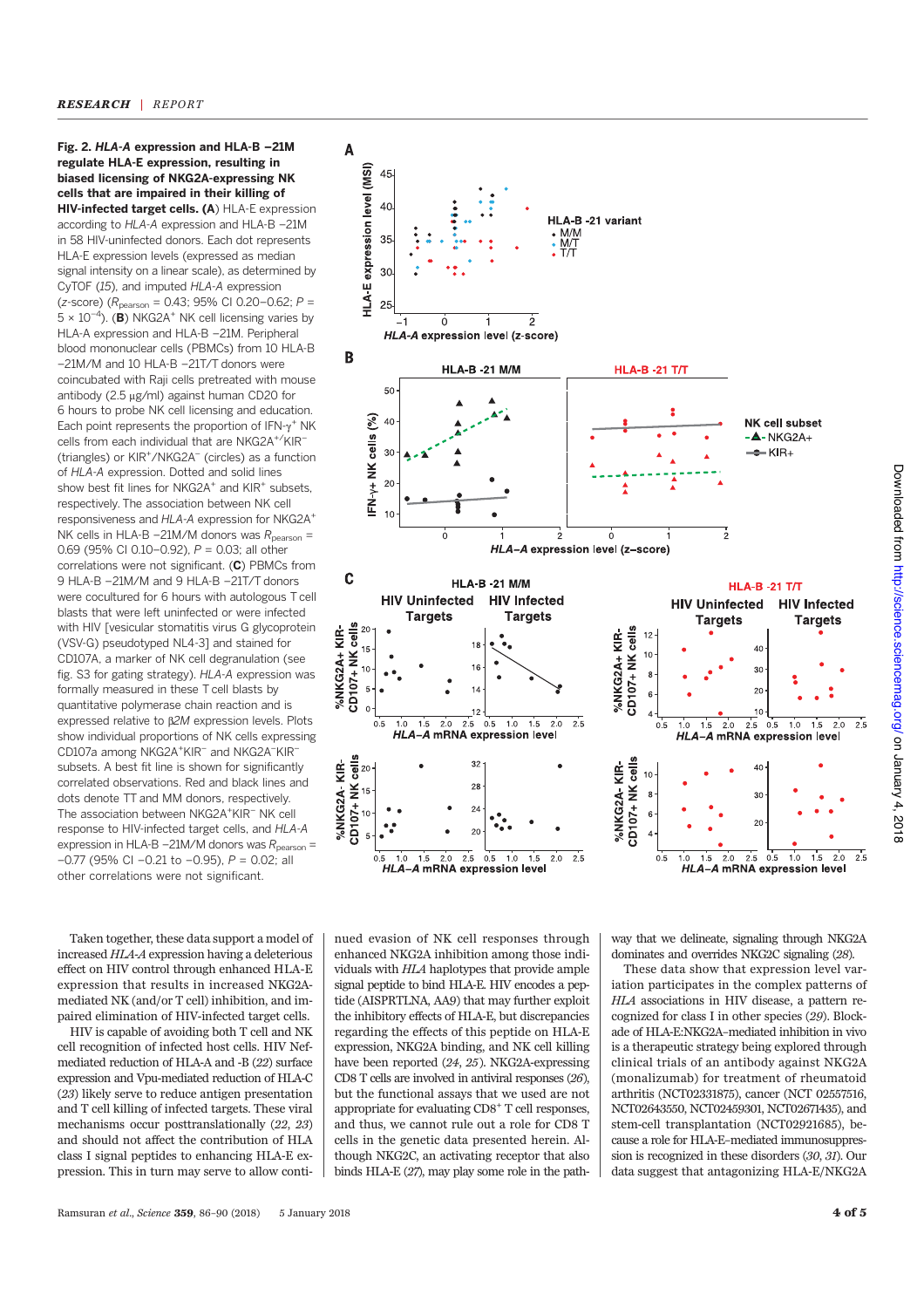Fig. 2. HLA-A expression and HLA-B –21M regulate HLA-E expression, resulting in biased licensing of NKG2A-expressing NK cells that are impaired in their killing of HIV-infected target cells. (A) HLA-E expression according to HLA-A expression and HLA-B –21M in 58 HIV-uninfected donors. Each dot represents HLA-E expression levels (expressed as median signal intensity on a linear scale), as determined by CyTOF (15), and imputed HLA-A expression  $(z\text{-score})$  ( $R_{\text{pearson}} = 0.43$ ; 95% CI 0.20-0.62;  $P =$  $5 \times 10^{-4}$ ). (B) NKG2A<sup>+</sup> NK cell licensing varies by HLA-A expression and HLA-B –21M. Peripheral blood mononuclear cells (PBMCs) from 10 HLA-B –21M/M and 10 HLA-B –21T/T donors were coincubated with Raji cells pretreated with mouse antibody (2.5 µg/ml) against human CD20 for 6 hours to probe NK cell licensing and education. Each point represents the proportion of  $IFN-\gamma^+$  NK cells from each individual that are NKG2A<sup>+/</sup>KIR<sup>-</sup> (triangles) or KIR<sup>+</sup>/NKG2A<sup>-</sup> (circles) as a function of HLA-A expression. Dotted and solid lines show best fit lines for NKG2A<sup>+</sup> and KIR<sup>+</sup> subsets, respectively. The association between NK cell responsiveness and HLA-A expression for NKG2A+ NK cells in HLA-B –21M/M donors was  $R_{\text{pearson}} =$ 0.69 (95% CI 0.10–0.92), P = 0.03; all other correlations were not significant. (C) PBMCs from 9 HLA-B –21M/M and 9 HLA-B –21T/T donors were cocultured for 6 hours with autologous T cell blasts that were left uninfected or were infected with HIV [vesicular stomatitis virus G glycoprotein (VSV-G) pseudotyped NL4-3] and stained for CD107A, a marker of NK cell degranulation (see fig. S3 for gating strategy). HLA-A expression was formally measured in these T cell blasts by quantitative polymerase chain reaction and is expressed relative to  $\beta$ 2M expression levels. Plots show individual proportions of NK cells expressing CD107a among NKG2A<sup>+</sup>KIR<sup>-</sup> and NKG2A<sup>-</sup>KIR<sup>-</sup> subsets. A best fit line is shown for significantly correlated observations. Red and black lines and dots denote TT and MM donors, respectively. The association between NKG2A<sup>+</sup>KIR<sup>-</sup>NK cell response to HIV-infected target cells, and HLA-A expression in HLA-B –21M/M donors was  $R_{\text{pearson}} =$ –0.77 (95% CI –0.21 to –0.95), P = 0.02; all other correlations were not significant.

Taken together, these data support a model of increased HLA-A expression having a deleterious effect on HIV control through enhanced HLA-E expression that results in increased NKG2Amediated NK (and/or T cell) inhibition, and impaired elimination of HIV-infected target cells.

HIV is capable of avoiding both T cell and NK cell recognition of infected host cells. HIV Nefmediated reduction of HLA-A and -B (22) surface expression and Vpu-mediated reduction of HLA-C (23) likely serve to reduce antigen presentation and T cell killing of infected targets. These viral mechanisms occur posttranslationally (22, 23) and should not affect the contribution of HLA class I signal peptides to enhancing HLA-E expression. This in turn may serve to allow conti-



way that we delineate, signaling through NKG2A dominates and overrides NKG2C signaling (28).

These data show that expression level variation participates in the complex patterns of HLA associations in HIV disease, a pattern recognized for class I in other species (29). Blockade of HLA-E:NKG2A–mediated inhibition in vivo is a therapeutic strategy being explored through clinical trials of an antibody against NKG2A (monalizumab) for treatment of rheumatoid arthritis (NCT02331875), cancer (NCT 02557516, NCT02643550, NCT02459301, NCT02671435), and stem-cell transplantation (NCT02921685), because a role for HLA-E–mediated immunosuppression is recognized in these disorders (30, 31). Our data suggest that antagonizing HLA-E/NKG2A

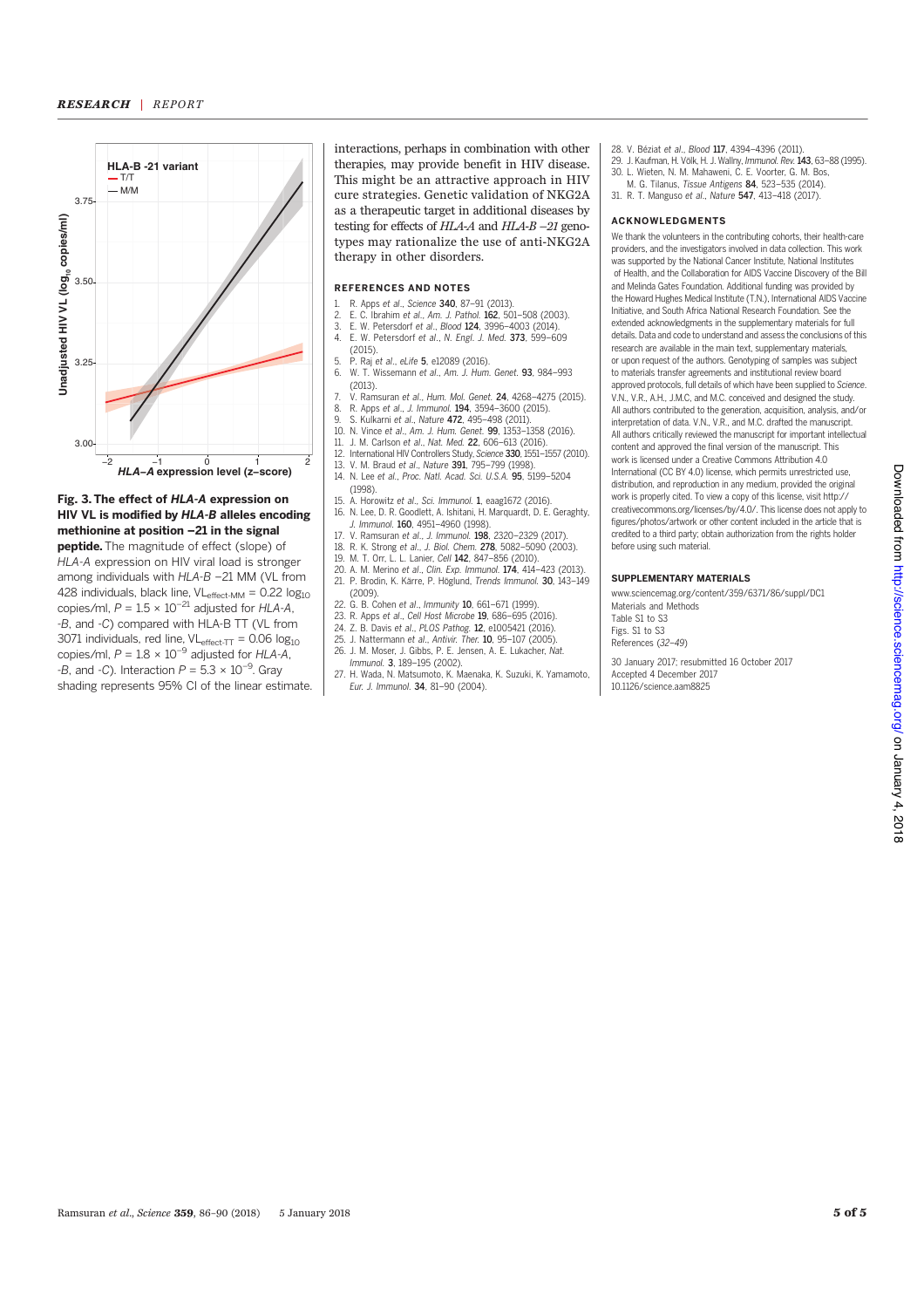

### Fig. 3. The effect of HLA-A expression on HIV VL is modified by HLA-B alleles encoding methionine at position –21 in the signal

peptide. The magnitude of effect (slope) of HLA-A expression on HIV viral load is stronger among individuals with HLA-B –21 MM (VL from 428 individuals, black line,  $VL_{effect-MM} = 0.22 log_{10}$ copies/ml,  $P = 1.5 \times 10^{-21}$  adjusted for HLA-A, -B, and -C) compared with HLA-B TT (VL from 3071 individuals, red line,  $VL_{effect-TT} = 0.06$  log<sub>10</sub> copies/ml,  $P = 1.8 \times 10^{-9}$  adjusted for HLA-A, -B, and -C). Interaction  $P = 5.3 \times 10^{-9}$ . Gray shading represents 95% CI of the linear estimate. interactions, perhaps in combination with other therapies, may provide benefit in HIV disease. This might be an attractive approach in HIV cure strategies. Genetic validation of NKG2A as a therapeutic target in additional diseases by testing for effects of HLA-A and HLA-B –21 genotypes may rationalize the use of anti-NKG2A therapy in other disorders.

# REFERENCES AND NOTES

- 1. R. Apps et al., Science 340, 87–91 (2013).
- 2. E. C. Ibrahim et *al*., A*m. J. Pathol.* **162**, 501–508 (2003).<br>3. E. W. Petersdorf et *al., Blood* **124**, 3996–4003 (2014).
- 4. E. W. Petersdorf et al., N. Engl. J. Med. 373, 599–609 (2015).
- 
- 5. P. Raj et al., eLife  $\overline{5}$ , e12089 (2016). 6. W. T. Wissemann et al., Am. J. Hum. Genet. 93, 984–993 (2013).
- 7. V. Ramsuran et al., Hum. Mol. Genet. **24**, 4268–4275 (2015).<br>8. R. Apps et al., J. Immunol. **194**, 3594–3600 (2015).<br>9. S. Kulkarni et al., Nature **472**, 495–498 (2011).
- 8. R. Apps et *al., J. Immunol.* **194**, 3594–3600 (2015).<br>9. S. Kulkarni et *al., Nature 472, 4*95–498 (2011).
- 
- 10. N. Vince et al., Am. J. Hum. Genet. 99, 1353–1358 (2016).
- 11. J. M. Carlson et al., Nat. Med. 22, 606–613 (2016).
- 12. International HIV Controllers Study, Science 330, 1551–1557 (2010).
- 13. V. M. Braud et *al.*, Nature **391**, 795–799 (1998).<br>14. N. Lee et al., Proc. Natl. Acad. Sci. U.S.A. **95**, 5199–5204 (1998).
- 15. A. Horowitz et al., Sci. Immunol. 1, eaag1672 (2016).
- 16. N. Lee, D. R. Goodlett, A. Ishitani, H. Marquardt, D. E. Geraghty, J. Immunol. 160, 4951–4960 (1998).
- 17. V. Ramsuran et al., J. Immunol. 198, 2320–2329 (2017).
- 18. R. K. Strong et al., J. Biol. Chem. **278**, 5082–5090 (2003).<br>19 M T Orr L. Lanier Cell **142**, 847–856 (2010).
- 19. M. Scieng et an., 3. Bien. enem. 276; 3382 333
- 20. A. M. Merino et al., Clin. Exp. Immunol. 174, 414–423 (2013). 21. P. Brodin, K. Kärre, P. Höglund, Trends Immunol. 30, 143–149 (2009).
- 
- 22. G. B. Cohen et al., Immunity **10**, 661–671 (1999).<br>23. R. Apps et al., Cell Host Microbe **19**, 686–695 (2016).
- 24. Z. B. Davis et al., PLOS Pathog. 12, e1005421 (2016).
- 25. J. Nattermann et al., Antivir. Ther. 10, 95–107 (2005).
- 26. J. M. Moser, J. Gibbs, P. E. Jensen, A. E. Lukacher, Nat. Immunol. 3, 189–195 (2002).
- 27. H. Wada, N. Matsumoto, K. Maenaka, K. Suzuki, K. Yamamoto, Eur. J. Immunol. 34, 81–90 (2004).
- 28. V. Béziat et al., Blood 117, 4394–4396 (2011).
- 29. J. Kaufman, H. Völk, H. J. Wallny, Immunol. Rev.143, 63–88 (1995). 30. L. Wieten, N. M. Mahaweni, C. E. Voorter, G. M. Bos,
- M. G. Tilanus, Tissue Antigens 84, 523-535 (2014).
- 31. R. T. Manguso et al., Nature 547, 413–418 (2017).

#### ACKNOWLEDGMENTS

We thank the volunteers in the contributing cohorts, their health-care providers, and the investigators involved in data collection. This work was supported by the National Cancer Institute, National Institutes of Health, and the Collaboration for AIDS Vaccine Discovery of the Bill and Melinda Gates Foundation. Additional funding was provided by the Howard Hughes Medical Institute (T.N.), International AIDS Vaccine Initiative, and South Africa National Research Foundation. See the extended acknowledgments in the supplementary materials for full details. Data and code to understand and assess the conclusions of this research are available in the main text, supplementary materials, or upon request of the authors. Genotyping of samples was subject to materials transfer agreements and institutional review board approved protocols, full details of which have been supplied to Science. V.N., V.R., A.H., J.M.C, and M.C. conceived and designed the study. All authors contributed to the generation, acquisition, analysis, and/or interpretation of data. V.N., V.R., and M.C. drafted the manuscript. All authors critically reviewed the manuscript for important intellectual content and approved the final version of the manuscript. This work is licensed under a Creative Commons Attribution 4.0 International (CC BY 4.0) license, which permits unrestricted use, distribution, and reproduction in any medium, provided the original work is properly cited. To view a copy of this license, visit http:// creativecommons.org/licenses/by/4.0/. This license does not apply to figures/photos/artwork or other content included in the article that is credited to a third party; obtain authorization from the rights holder before using such material.

#### SUPPLEMENTARY MATERIALS

www.sciencemag.org/content/359/6371/86/suppl/DC1 Materials and Methods Table S1 to S3 Figs. S1 to S3 References (32–49)

30 January 2017; resubmitted 16 October 2017 Accepted 4 December 2017 10.1126/science.aam8825